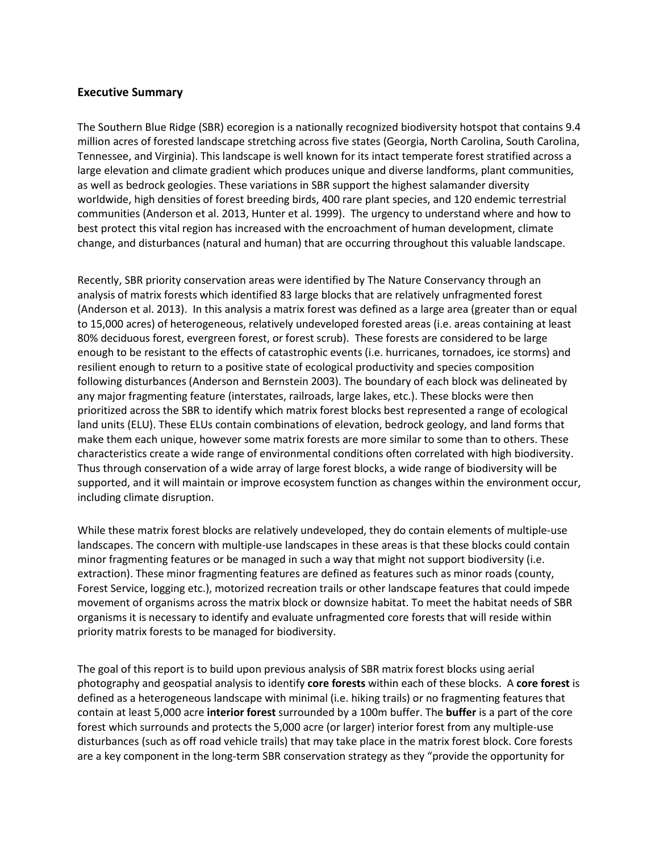## **Executive Summary**

The Southern Blue Ridge (SBR) ecoregion is a nationally recognized biodiversity hotspot that contains 9.4 million acres of forested landscape stretching across five states (Georgia, North Carolina, South Carolina, Tennessee, and Virginia). This landscape is well known for its intact temperate forest stratified across a large elevation and climate gradient which produces unique and diverse landforms, plant communities, as well as bedrock geologies. These variations in SBR support the highest salamander diversity worldwide, high densities of forest breeding birds, 400 rare plant species, and 120 endemic terrestrial communities (Anderson et al. 2013, Hunter et al. 1999). The urgency to understand where and how to best protect this vital region has increased with the encroachment of human development, climate change, and disturbances (natural and human) that are occurring throughout this valuable landscape.

Recently, SBR priority conservation areas were identified by The Nature Conservancy through an analysis of matrix forests which identified 83 large blocks that are relatively unfragmented forest (Anderson et al. 2013). In this analysis a matrix forest was defined as a large area (greater than or equal to 15,000 acres) of heterogeneous, relatively undeveloped forested areas (i.e. areas containing at least 80% deciduous forest, evergreen forest, or forest scrub). These forests are considered to be large enough to be resistant to the effects of catastrophic events (i.e. hurricanes, tornadoes, ice storms) and resilient enough to return to a positive state of ecological productivity and species composition following disturbances (Anderson and Bernstein 2003). The boundary of each block was delineated by any major fragmenting feature (interstates, railroads, large lakes, etc.). These blocks were then prioritized across the SBR to identify which matrix forest blocks best represented a range of ecological land units (ELU). These ELUs contain combinations of elevation, bedrock geology, and land forms that make them each unique, however some matrix forests are more similar to some than to others. These characteristics create a wide range of environmental conditions often correlated with high biodiversity. Thus through conservation of a wide array of large forest blocks, a wide range of biodiversity will be supported, and it will maintain or improve ecosystem function as changes within the environment occur, including climate disruption.

While these matrix forest blocks are relatively undeveloped, they do contain elements of multiple-use landscapes. The concern with multiple-use landscapes in these areas is that these blocks could contain minor fragmenting features or be managed in such a way that might not support biodiversity (i.e. extraction). These minor fragmenting features are defined as features such as minor roads (county, Forest Service, logging etc.), motorized recreation trails or other landscape features that could impede movement of organisms across the matrix block or downsize habitat. To meet the habitat needs of SBR organisms it is necessary to identify and evaluate unfragmented core forests that will reside within priority matrix forests to be managed for biodiversity.

The goal of this report is to build upon previous analysis of SBR matrix forest blocks using aerial photography and geospatial analysis to identify **core forests** within each of these blocks. A **core forest** is defined as a heterogeneous landscape with minimal (i.e. hiking trails) or no fragmenting features that contain at least 5,000 acre **interior forest** surrounded by a 100m buffer. The **buffer** is a part of the core forest which surrounds and protects the 5,000 acre (or larger) interior forest from any multiple-use disturbances (such as off road vehicle trails) that may take place in the matrix forest block. Core forests are a key component in the long-term SBR conservation strategy as they "provide the opportunity for